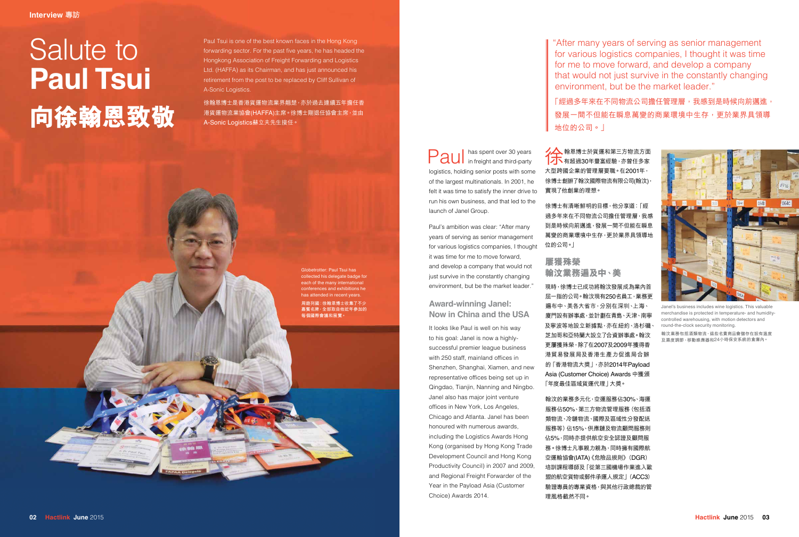Paul in freight and third-party logistics, holding senior posts with some of the largest multinationals. In 2001, he

felt it was time to satisfy the inner drive to 實現了他創業的理想。 ▲▲大納恩博士於貨運和第三方物流方面 475 有超過30年豐富經驗,亦曾任多家 大型跨國企業的管理層要職。在2001年, 徐博士創辦了翰汶國際物流有限公司(翰汶)

run his own business, and that led to the

launch of Janel Group.

Paul's ambition was clear: "After many years of serving as senior management for various logistics companies, I thought it was time for me to move forward, and develop a company that would not just survive in the constantly changing environment, but be the market leader."

**Award-winning Janel: Now in China and the USA**

現時,徐博士已成功將翰汶發展成為業內首 屈一指的公司。翰汶現有250名員工,業務更 遍布中、美各大省市,分別在深圳、上海、 廈門設有辦事處,並計劃在青島、天津、南寧 及寧波等地設立新據點,亦在紐約、洛杉磯 芝加哥和亞特蘭大設立了合資辦事處。翰汶 更屢獲殊榮,除了在2007及2009年獲得香 港貿易發展局及香港生產力促進局合辦 的「香港物流大獎」,亦於2014年Payload Asia (Customer Choice) Awards 中獲頒 「年度最佳區域貨運代理」大獎。

It looks like Paul is well on his way to his goal: Janel is now a highlysuccessful premier league business with 250 staff, mainland offices in Shenzhen, Shanghai, Xiamen, and new representative offices being set up in Qingdao, Tianjin, Nanning and Ningbo. Janel also has major joint venture offices in New York, Los Angeles, Chicago and Atlanta. Janel has been honoured with numerous awards, including the Logistics Awards Hong Kong (organised by Hong Kong Trade Development Council and Hong Kong Productivity Council) in 2007 and 2009, and Regional Freight Forwarder of the Year in the Payload Asia (Customer

Choice) Awards 2014.

徐博士有清晰鮮明的目標,他分享道:「經 過多年來在不同物流公司擔任管理層,我感 到是時候向前邁進,發展一間不但能在瞬息 萬變的商業環境中生存,更於業界具領導地 位的公司。」

**屢獲殊榮 翰汶業務遍及中、美**

徐翰恩博士是香港貨運物流業界翹楚,亦於過去連續五年擔任香 港貨運物流業協會(HAFFA)主席。徐博士剛退任協會主席,並由 A-Sonic Logistics蘇立夫先生接任。

> 翰汶的業務多元化,空運服務佔30%、海運 服務佔50%、第三方物流管理服務(包括酒 類物流、塗物流、國際及區域性分發配送 服務等)佔15%、供應鏈及物流顧問服務則 佔5%,同時亦提供航空安全認證及顧問服 務。徐博士凡事親力親為,同時擁有國際航 空運輸協會(IATA)《危險品規則》(DGR) 培訓課程導師及「從第三國機場作業進入歐 盟的航空貨物或郵件承運人規定」(ACC3) 驗證專員的專業資格,與其他行政總裁的管 理風格截然不同。

"After many years of serving as senior management for various logistics companies, I thought it was time for me to move forward, and develop a company that would not just survive in the constantly changing environment, but be the market leader."

「經過多年來在不同物流公司擔任管理層,我感到是時候向前邁進, 發展一間不但能在瞬息萬變的商業環境中生存,更於業界具領導



地位的公司。」

# Salute to **Paul Tsui 向徐翰恩致敬**



Janel's business includes wine logistics. This valuable merchandise is protected in temperature- and humiditycontrolled warehousing, with motion detectors and round-the-clock security monitoring.

**翰汶業務包括酒類物流,這些名貴商品會儲存在設有溫度 及濕度調節、移動感應器和**24**小時保安系統的倉庫內。**

Paul Tsui is one of the best known faces in the Hong Kong forwarding sector. For the past five years, he has headed the Hongkong Association of Freight Forwarding and Logistics Ltd. (HAFFA) as its Chairman, and has just announced his retirement from the post to be replaced by Cliff Sullivan of A-Sonic Logistics.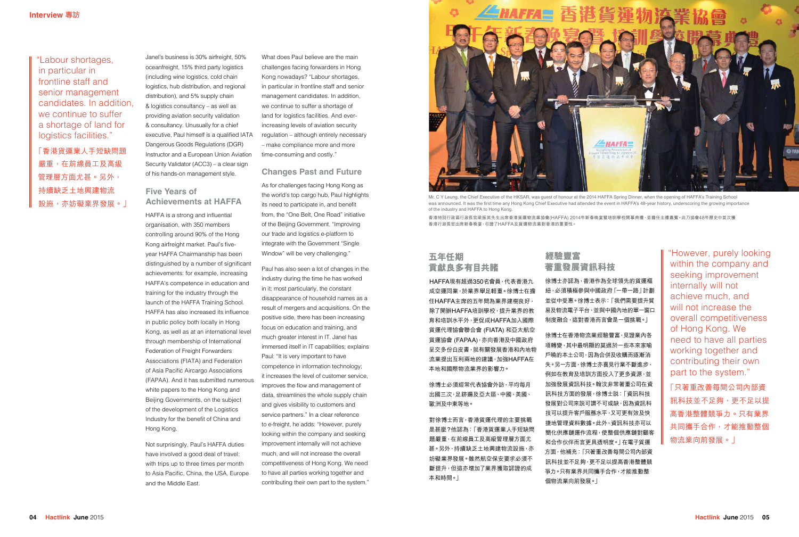Janel's business is 30% airfreight, 50% oceanfreight, 15% third party logistics (including wine logistics, cold chain logistics, hub distribution, and regional distribution), and 5% supply chain & logistics consultancy – as well as providing aviation security validation & consultancy. Unusually for a chief executive, Paul himself is a qualified IATA Dangerous Goods Regulations (DGR) Instructor and a European Union Aviation Security Validator (ACC3) – a clear sign of his hands-on management style.

#### **Five Years of Achievements at HAFFA**

HAFFA is a strong and influential organisation, with 350 members controlling around 90% of the Hong Kong airfreight market. Paul's fiveyear HAFFA Chairmanship has been distinguished by a number of significant achievements: for example, increasing HAFFA's competence in education and training for the industry through the launch of the HAFFA Training School. HAFFA has also increased its influence in public policy both locally in Hong Kong, as well as at an international level through membership of International Federation of Freight Forwarders Associations (FIATA) and Federation of Asia Pacific Aircargo Associations (FAPAA). And it has submitted numerous white papers to the Hong Kong and Beijing Governments, on the subject of the development of the Logistics Industry for the benefit of China and Hong Kong.

Not surprisingly, Paul's HAFFA duties have involved a good deal of travel: with trips up to three times per month to Asia Pacific, China, the USA, Europe and the Middle East.

### **經驗豐富 著重發展資訊科技**

徐博士亦認為,香港作為全球領先的貨運樞 紐,必須積極參與中國政府「一帶一路」計劃 並從中受惠。徐博士表示:「我們需要提升貿 易及物流電子平台,並與中國內地的單一窗口 制度融合,這對香港而言會是一個挑戰。」

徐博士在香港物流業經驗豐富,見證業內各 項轉變,其中最明顯的莫過於一些本來家喻 戶曉的本土公司,因為合併及收購而逐漸消 失。另一方面,徐博士亦喜見行業不斷進步, 例如在教育及培訓方面投入了更多資源,並 加強發展資訊科技。翰汶非常著重公司在資 訊科技方面的發展,徐博士說:「資訊科技 發展對公司來説可謂不可或缺,因為資訊科 技可以提升客戶服務水平,又可更有效及快 捷地管理資料數據。此外,資訊科技亦可以 簡化供應鏈運作流程,使整個供應鏈對顧客 和合作伙伴而言更具透明度。」在電子貨運 方面,他補充:「只著重改善每間公司內部資 訊科技並不足夠,更不足以提高香港整體競 爭力。只有業界共同攜手合作,才能推動整 個物流業向前發展。」

## **五年任期 貢獻良多有目共睹**

HAFFA現有超過350名會員,代表香港九 成空運同業,於業界舉足輕重。徐博士在擔 任HAFFA主席的五年間為業界建樹良好, 除了開辦HAFFA培訓學校,提升業界的教 育和培訓水平外,更促成HAFFA加入國際 貨運代理協會聯合會 (FIATA) 和亞太航空 貨運協會 (FAPAA), 亦向香港及中國政府 呈交多份白皮書,就有關發展香港和內地物 流業提出互利兩地的建議,加強HAFFA在 本地和國際物流業界的影響力。

#### 徐博士必須經常代表協會外訪,平均每月 出國三次,足跡遍及亞太區、中國、美國、 歐洲及中東等地。

對徐博士而言,香港貨運代理的主要挑戰 是甚麼?他認為:「香港貨運業人手短缺問 題嚴重,在前線員工及高級管理層方面尤 甚。另外,持續缺乏土地興建物流設施,亦 妨礙業界發展。雖然航空保安要求必須不 斷提升,但這亦增加了業界獲取認證的成 本和時間。」

What does Paul believe are the main challenges facing forwarders in Hong Kong nowadays? "Labour shortages, in particular in frontline staff and senior management candidates. In addition, we continue to suffer a shortage of land for logistics facilities. And everincreasing levels of aviation security regulation – although entirely necessary – make compliance more and more time-consuming and costly."

#### **Changes Past and Future**

As for challenges facing Hong Kong as the world's top cargo hub, Paul highlights its need to participate in, and benefit from, the "One Belt, One Road" initiative of the Beijing Government. "Improving our trade and logistics e-platform to integrate with the Government "Single Window" will be very challenging."

Paul has also seen a lot of changes in the industry during the time he has worked in it: most particularly, the constant disappearance of household names as a result of mergers and acquisitions. On the positive side, there has been increasing focus on education and training, and much greater interest in IT. Janel has immersed itself in IT capabilities; explains Paul: "It is very important to have competence in information technology; it increases the level of customer service, improves the flow and management of data, streamlines the whole supply chain and gives visibility to customers and service partners." In a clear reference to e-freight, he adds: "However, purely looking within the company and seeking improvement internally will not achieve much, and will not increase the overall competitiveness of Hong Kong. We need to have all parties working together and contributing their own part to the system."

"However, purely looking within the company and seeking improvement internally will not achieve much, and will not increase the overall competitiveness of Hong Kong. We need to have all parties working together and contributing their own part to the system."

「只著重改善每間公司內部資 訊科技並不足夠,更不足以提 高香港整體競爭力。只有業界 共同攜手合作,才能推動整個 物流業向前發展。」

"Labour shortages, in particular in frontline staff and senior management candidates. In addition, we continue to suffer a shortage of land for logistics facilities."

「香港貨運業人手短缺問題 嚴重,在前線員工及高級 管理層方面尤甚。另外, 持續缺乏土地興建物流 設施,亦妨礙業界發展。」



Mr. C Y Leung, the Chief Executive of the HKSAR, was guest of honour at the 2014 HAFFA Spring Dinner, when the opening of HAFFA's Training School was announced. It was the first time any Hong Kong Chief Executive had attended the event in HAFFA's 48-year history, underscoring the growing importance of the industry and HAFFA to Hong Kong.

**香港特別行政區行政長官梁振英先生出席香港貨運物流業協會**(HAFFA) 2014**年新春晚宴暨培訓學校開幕典禮,並擔任主禮嘉賓。此乃協會**48**年歷史中首次獲 香港行政長官出席新春晚宴,引證了**HAFFA**及貨運物流業對香港的重要性。**